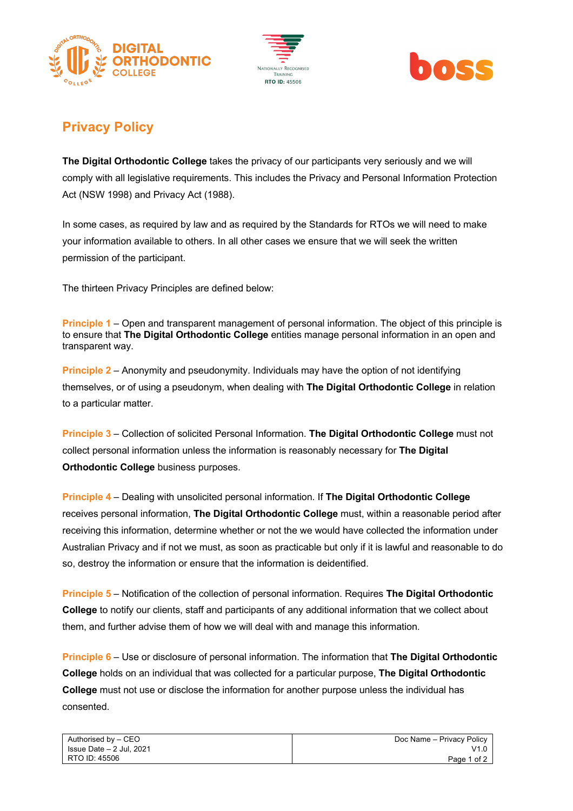





## **Privacy Policy**

**The Digital Orthodontic College** takes the privacy of our participants very seriously and we will comply with all legislative requirements. This includes the Privacy and Personal Information Protection Act (NSW 1998) and Privacy Act (1988).

In some cases, as required by law and as required by the Standards for RTOs we will need to make your information available to others. In all other cases we ensure that we will seek the written permission of the participant.

The thirteen Privacy Principles are defined below:

**Principle 1** – Open and transparent management of personal information. The object of this principle is to ensure that **The Digital Orthodontic College** entities manage personal information in an open and transparent way.

**Principle 2** – Anonymity and pseudonymity. Individuals may have the option of not identifying themselves, or of using a pseudonym, when dealing with **The Digital Orthodontic College** in relation to a particular matter.

**Principle 3** – Collection of solicited Personal Information. **The Digital Orthodontic College** must not collect personal information unless the information is reasonably necessary for **The Digital Orthodontic College** business purposes.

**Principle 4** – Dealing with unsolicited personal information. If **The Digital Orthodontic College**  receives personal information, **The Digital Orthodontic College** must, within a reasonable period after receiving this information, determine whether or not the we would have collected the information under Australian Privacy and if not we must, as soon as practicable but only if it is lawful and reasonable to do so, destroy the information or ensure that the information is deidentified.

**Principle 5** – Notification of the collection of personal information. Requires **The Digital Orthodontic College** to notify our clients, staff and participants of any additional information that we collect about them, and further advise them of how we will deal with and manage this information.

**Principle 6** – Use or disclosure of personal information. The information that **The Digital Orthodontic College** holds on an individual that was collected for a particular purpose, **The Digital Orthodontic College** must not use or disclose the information for another purpose unless the individual has consented.